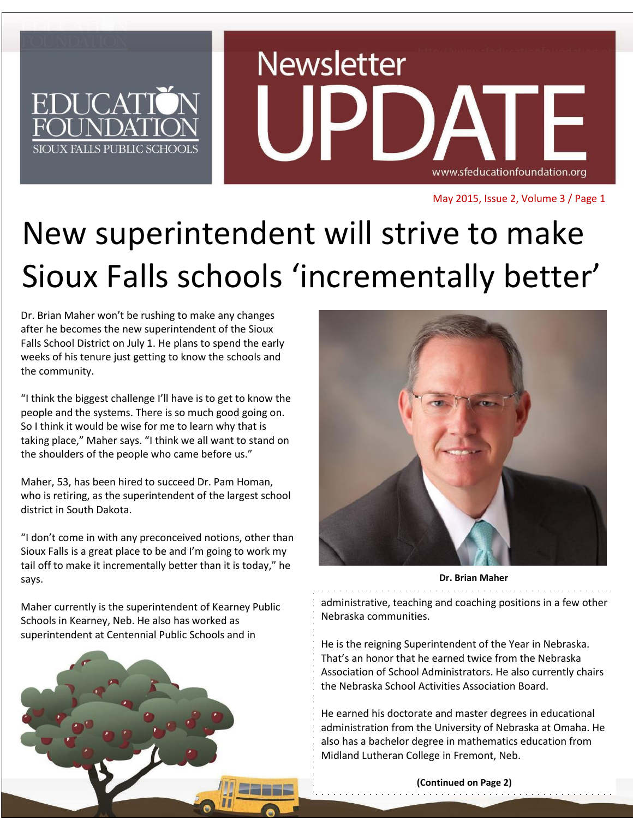

May 2015, Issue 2, Volume 3 / Page 1

# New superintendent will strive to make Sioux Falls schools 'incrementally better'

Dr. Brian Maher won't be rushing to make any changes after he becomes the new superintendent of the Sioux Falls School District on July 1. He plans to spend the early weeks of his tenure just getting to know the schools and the community.

"I think the biggest challenge I'll have is to get to know the people and the systems. There is so much good going on. So I think it would be wise for me to learn why that is taking place," Maher says. "I think we all want to stand on the shoulders of the people who came before us."

Maher, 53, has been hired to succeed Dr. Pam Homan, who is retiring, as the superintendent of the largest school district in South Dakota.

"I don't come in with any preconceived notions, other than Sioux Falls is a great place to be and I'm going to work my tail off to make it incrementally better than it is today," he says.

Maher currently is the superintendent of Kearney Public Schools in Kearney, Neb. He also has worked as superintendent at Centennial Public Schools and in





**Dr. Brian Maher**

administrative, teaching and coaching positions in a few other Nebraska communities.

He is the reigning Superintendent of the Year in Nebraska. That's an honor that he earned twice from the Nebraska Association of School Administrators. He also currently chairs the Nebraska School Activities Association Board.

He earned his doctorate and master degrees in educational administration from the University of Nebraska at Omaha. He also has a bachelor degree in mathematics education from Midland Lutheran College in Fremont, Neb.

> **(Continued on Page 2)** . . . . . . . . . . . . . .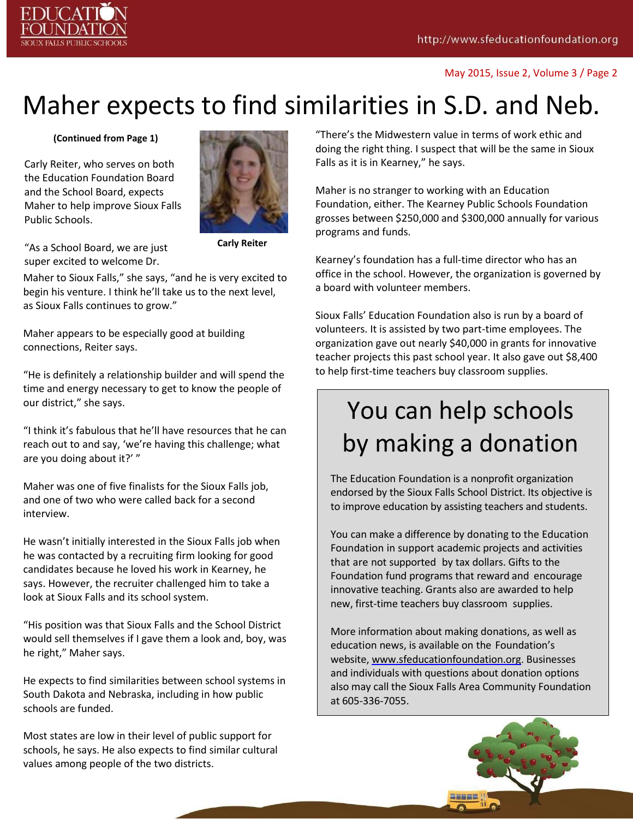#### May 2015, Issue 2, Volume 3 / Page 2

## Maher expects to find similarities in S.D. and Neb.

#### **(Continued from Page 1)**

Carly Reiter, who serves on both the Education Foundation Board and the School Board, expects Maher to help improve Sioux Falls Public Schools.



**Carly Reiter**

"As a School Board, we are just super excited to welcome Dr.

Maher to Sioux Falls," she says, "and he is very excited to begin his venture. I think he'll take us to the next level, as Sioux Falls continues to grow."

Maher appears to be especially good at building connections, Reiter says.

"He is definitely a relationship builder and will spend the time and energy necessary to get to know the people of our district," she says.

"I think it's fabulous that he'll have resources that he can reach out to and say, 'we're having this challenge; what are you doing about it?' "

Maher was one of five finalists for the Sioux Falls job, and one of two who were called back for a second interview.

He wasn't initially interested in the Sioux Falls job when he was contacted by a recruiting firm looking for good candidates because he loved his work in Kearney, he says. However, the recruiter challenged him to take a look at Sioux Falls and its school system.

"His position was that Sioux Falls and the School District would sell themselves if I gave them a look and, boy, was he right," Maher says.

He expects to find similarities between school systems in South Dakota and Nebraska, including in how public schools are funded.

Most states are low in their level of public support for schools, he says. He also expects to find similar cultural values among people of the two districts.

"There's the Midwestern value in terms of work ethic and doing the right thing. I suspect that will be the same in Sioux Falls as it is in Kearney," he says.

Maher is no stranger to working with an Education Foundation, either. The Kearney Public Schools Foundation grosses between \$250,000 and \$300,000 annually for various programs and funds.

Kearney's foundation has a full-time director who has an office in the school. However, the organization is governed by a board with volunteer members.

Sioux Falls' Education Foundation also is run by a board of volunteers. It is assisted by two part-time employees. The organization gave out nearly \$40,000 in grants for innovative teacher projects this past school year. It also gave out \$8,400 to help first-time teachers buy classroom supplies.

## You can help schools by making a donation

The Education Foundation is a nonprofit organization endorsed by the Sioux Falls School District. Its objective is to improve education by assisting teachers and students.

You can make a difference by donating to the Education Foundation in support academic projects and activities that are not supported by tax dollars. Gifts to the Foundation fund programs that reward and encourage innovative teaching. Grants also are awarded to help new, first-time teachers buy classroom supplies.

More information about making donations, as well as education news, is available on the Foundation's website, [www.sfeducationfoundation.org.](http://www.sfeducationfoundation.org/) Businesses and individuals with questions about donation options also may call the Sioux Falls Area Community Foundation at 605-336-7055.

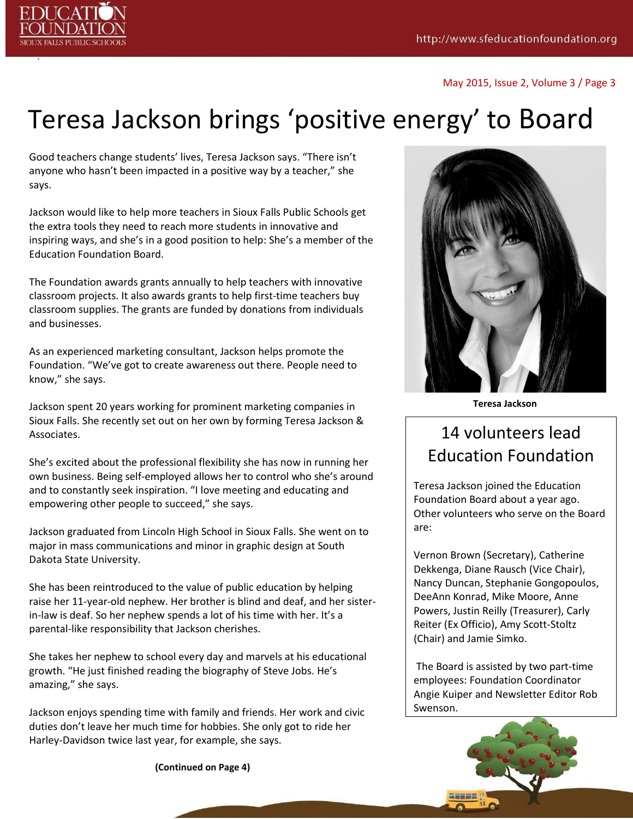

.

May 2015, Issue 2, Volume 3 / Page 3

## Teresa Jackson brings 'positive energy' to Board

Good teachers change students' lives, Teresa Jackson says. "There isn't anyone who hasn't been impacted in a positive way by a teacher," she says.

Jackson would like to help more teachers in Sioux Falls Public Schools get the extra tools they need to reach more students in innovative and inspiring ways, and she's in a good position to help: She's a member of the Education Foundation Board.

The Foundation awards grants annually to help teachers with innovative classroom projects. It also awards grants to help first-time teachers buy classroom supplies. The grants are funded by donations from individuals and businesses.

As an experienced marketing consultant, Jackson helps promote the Foundation. "We've got to create awareness out there. People need to know," she says.

Jackson spent 20 years working for prominent marketing companies in Sioux Falls. She recently set out on her own by forming Teresa Jackson & Associates.

She's excited about the professional flexibility she has now in running her own business. Being self-employed allows her to control who she's around and to constantly seek inspiration. "I love meeting and educating and empowering other people to succeed," she says.

Jackson graduated from Lincoln High School in Sioux Falls. She went on to major in mass communications and minor in graphic design at South Dakota State University.

She has been reintroduced to the value of public education by helping raise her 11-year-old nephew. Her brother is blind and deaf, and her sisterin-law is deaf. So her nephew spends a lot of his time with her. It's a parental-like responsibility that Jackson cherishes.

She takes her nephew to school every day and marvels at his educational growth. "He just finished reading the biography of Steve Jobs. He's amazing," she says.

Jackson enjoys spending time with family and friends. Her work and civic duties don't leave her much time for hobbies. She only got to ride her Harley-Davidson twice last year, for example, she says.

**(Continued on Page 4)**



**Teresa Jackson**

### 14 volunteers lead Education Foundation

Teresa Jackson joined the Education Foundation Board about a year ago. Other volunteers who serve on the Board are:

Vernon Brown (Secretary), Catherine Dekkenga, Diane Rausch (Vice Chair), Nancy Duncan, Stephanie Gongopoulos, DeeAnn Konrad, Mike Moore, Anne Powers, Justin Reilly (Treasurer), Carly Reiter (Ex Officio), Amy Scott-Stoltz (Chair) and Jamie Simko.

The Board is assisted by two part-time employees: Foundation Coordinator Angie Kuiper and Newsletter Editor Rob Swenson.

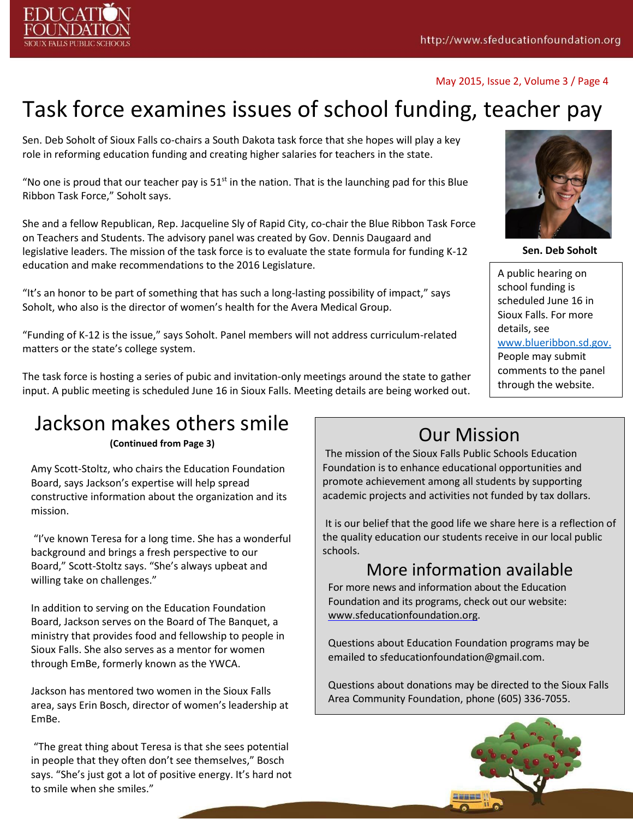

#### May 2015, Issue 2, Volume 3 / Page 4

### Task force examines issues of school funding, teacher pay

Sen. Deb Soholt of Sioux Falls co-chairs a South Dakota task force that she hopes will play a key role in reforming education funding and creating higher salaries for teachers in the state.

"No one is proud that our teacher pay is  $51<sup>st</sup>$  in the nation. That is the launching pad for this Blue Ribbon Task Force," Soholt says.

She and a fellow Republican, Rep. Jacqueline Sly of Rapid City, co-chair the Blue Ribbon Task Force on Teachers and Students. The advisory panel was created by Gov. Dennis Daugaard and legislative leaders. The mission of the task force is to evaluate the state formula for funding K-12 education and make recommendations to the 2016 Legislature.

"It's an honor to be part of something that has such a long-lasting possibility of impact," says Soholt, who also is the director of women's health for the Avera Medical Group.

"Funding of K-12 is the issue," says Soholt. Panel members will not address curriculum-related matters or the state's college system.

The task force is hosting a series of pubic and invitation-only meetings around the state to gather input. A public meeting is scheduled June 16 in Sioux Falls. Meeting details are being worked out.

### Jackson makes others smile

**(Continued from Page 3)**

Amy Scott-Stoltz, who chairs the Education Foundation Board, says Jackson's expertise will help spread constructive information about the organization and its mission.

"I've known Teresa for a long time. She has a wonderful background and brings a fresh perspective to our Board," Scott-Stoltz says. "She's always upbeat and willing take on challenges."

In addition to serving on the Education Foundation Board, Jackson serves on the Board of The Banquet, a ministry that provides food and fellowship to people in Sioux Falls. She also serves as a mentor for women through EmBe, formerly known as the YWCA.

Jackson has mentored two women in the Sioux Falls area, says Erin Bosch, director of women's leadership at EmBe.

"The great thing about Teresa is that she sees potential in people that they often don't see themselves," Bosch says. "She's just got a lot of positive energy. It's hard not to smile when she smiles."

### Our Mission

The mission of the Sioux Falls Public Schools Education Foundation is to enhance educational opportunities and promote achievement among all students by supporting academic projects and activities not funded by tax dollars.

It is our belief that the good life we share here is a reflection of the quality education our students receive in our local public schools.

### More information available

For more news and information about the Education Foundation and its programs, check out our website: [www.sfeducationfoundation.org.](http://www.sfeducationfoundation.org/)

Questions about Education Foundation programs may be emailed to [sfeducationfoundation@gmail.com.](mailto:sfeducationfoundation@gmail.com)

Questions about donations may be directed to the Sioux Falls Area Community Foundation, phone (605) 336-7055.





**Sen. Deb Soholt**

A public hearing on school funding is scheduled June 16 in Sioux Falls. For more details, see [www.blueribbon.sd.gov.](http://www.blueribbon.sd.gov/) People may submit comments to the panel through the website.